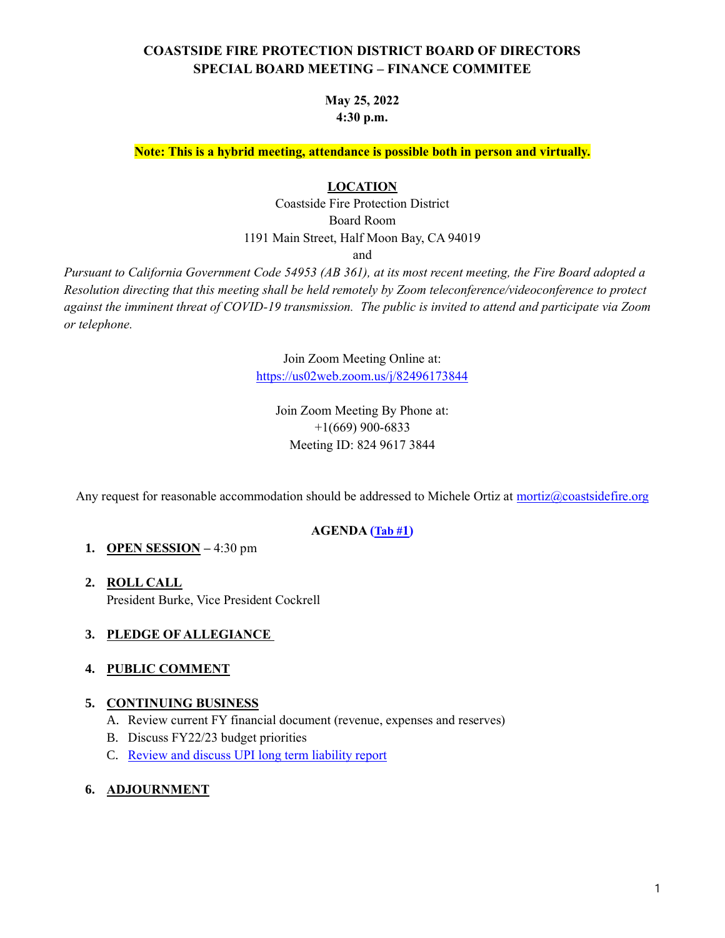# **COASTSIDE FIRE PROTECTION DISTRICT BOARD OF DIRECTORS SPECIAL BOARD MEETING – FINANCE COMMITEE**

## **May 25, 2022 4:30 p.m.**

**Note: This is a hybrid meeting, attendance is possible both in person and virtually.**

#### **LOCATION**

Coastside Fire Protection District Board Room 1191 Main Street, Half Moon Bay, CA 94019

and

*Pursuant to California Government Code 54953 (AB 361), at its most recent meeting, the Fire Board adopted a Resolution directing that this meeting shall be held remotely by Zoom teleconference/videoconference to protect against the imminent threat of COVID-19 transmission. The public is invited to attend and participate via Zoom or telephone.*

> Join Zoom Meeting Online at: <https://us02web.zoom.us/j/82496173844>

Join Zoom Meeting By Phone at: +1(669) 900-6833 Meeting ID: 824 9617 3844

Any request for reasonable accommodation should be addressed to Michele Ortiz at [mortiz@coastsidefire.org](mailto:mortiz@coastsidefire.org)

### **AGENDA ([Tab #](https://www.coastsidefire.org/files/37030f747/052522+tab+1+Finance+Committee+Agenda+-+signed.pdf)1)**

### **1. OPEN SESSION –** 4:30 pm

**2. ROLL CALL** President Burke, Vice President Cockrell

### **3. PLEDGE OF ALLEGIANCE**

### **4. PUBLIC COMMENT**

### **5. CONTINUING BUSINESS**

- A. Review current FY financial document (revenue, expenses and reserves)
- B. Discuss FY22/23 budget priorities
- C. [Review and discuss UPI long term liability report](https://www.coastsidefire.org/files/3acb2c5d2/052522+5c.+UPI+Staff+Report.pdf)

#### **6. ADJOURNMENT**